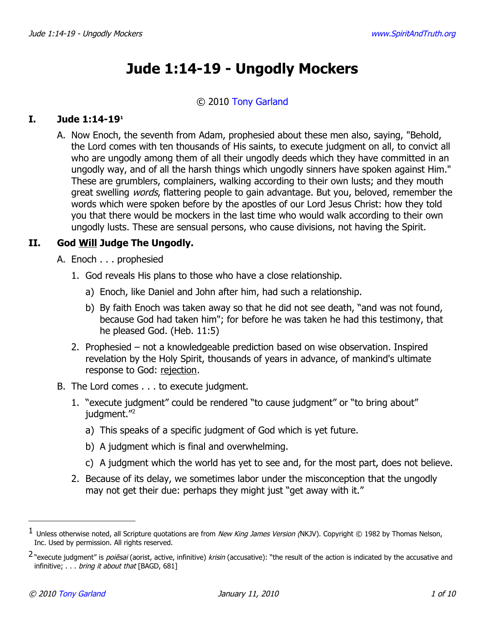# **Jude 1:14-19 - Ungodly Mockers**

#### © 2010 [Tony Garland](http://www.spiritandtruth.org/id/tg.htm)

#### **I. Jude 1:14-19[1](#page-0-0)**

A. Now Enoch, the seventh from Adam, prophesied about these men also, saying, "Behold, the Lord comes with ten thousands of His saints, to execute judgment on all, to convict all who are ungodly among them of all their ungodly deeds which they have committed in an ungodly way, and of all the harsh things which ungodly sinners have spoken against Him." These are grumblers, complainers, walking according to their own lusts; and they mouth great swelling *words*, flattering people to gain advantage. But you, beloved, remember the words which were spoken before by the apostles of our Lord Jesus Christ: how they told you that there would be mockers in the last time who would walk according to their own ungodly lusts. These are sensual persons, who cause divisions, not having the Spirit.

## **II. God Will Judge The Ungodly.**

- A. Enoch . . . prophesied
	- 1. God reveals His plans to those who have a close relationship.
		- a) Enoch, like Daniel and John after him, had such a relationship.
		- b) By faith Enoch was taken away so that he did not see death, "and was not found, because God had taken him"; for before he was taken he had this testimony, that he pleased God. (Heb. 11:5)
	- 2. Prophesied not a knowledgeable prediction based on wise observation. Inspired revelation by the Holy Spirit, thousands of years in advance, of mankind's ultimate response to God: rejection.
- B. The Lord comes . . . to execute judgment.
	- 1. "execute judgment" could be rendered "to cause judgment" or "to bring about" judgment."<sup>[2](#page-0-1)</sup>
		- a) This speaks of a specific judgment of God which is yet future.
		- b) A judgment which is final and overwhelming.
		- c) A judgment which the world has yet to see and, for the most part, does not believe.
	- 2. Because of its delay, we sometimes labor under the misconception that the ungodly may not get their due: perhaps they might just "get away with it."

<span id="page-0-0"></span> $^1$  Unless otherwise noted, all Scripture quotations are from *New King James Version (*NKJV). Copyright © 1982 by Thomas Nelson, Inc. Used by permission. All rights reserved.

<span id="page-0-1"></span><sup>&</sup>lt;sup>2</sup> "execute judgment" is *poiēsai* (aorist, active, infinitive) krisin (accusative): "the result of the action is indicated by the accusative and infinitive; . . . bring it about that [BAGD, 681]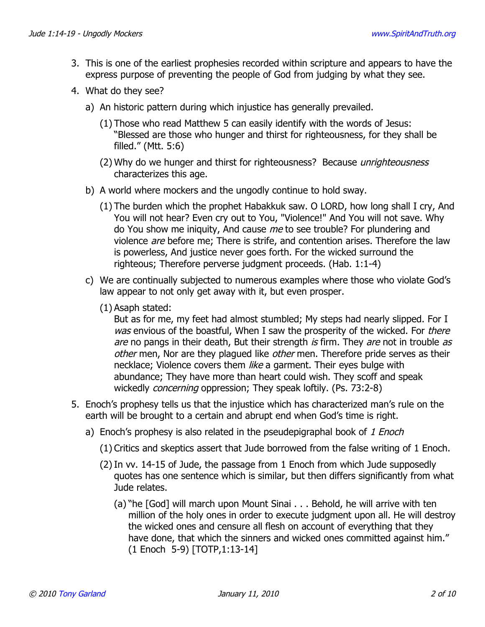- 3. This is one of the earliest prophesies recorded within scripture and appears to have the express purpose of preventing the people of God from judging by what they see.
- 4. What do they see?
	- a) An historic pattern during which injustice has generally prevailed.
		- (1) Those who read Matthew 5 can easily identify with the words of Jesus: "Blessed are those who hunger and thirst for righteousness, for they shall be filled." (Mtt. 5:6)
		- (2) Why do we hunger and thirst for righteousness? Because *unrighteousness* characterizes this age.
	- b) A world where mockers and the ungodly continue to hold sway.
		- (1) The burden which the prophet Habakkuk saw. O LORD, how long shall I cry, And You will not hear? Even cry out to You, "Violence!" And You will not save. Why do You show me iniquity, And cause me to see trouble? For plundering and violence are before me; There is strife, and contention arises. Therefore the law is powerless, And justice never goes forth. For the wicked surround the righteous; Therefore perverse judgment proceeds. (Hab. 1:1-4)
	- c) We are continually subjected to numerous examples where those who violate God's law appear to not only get away with it, but even prosper.
		- (1) Asaph stated:

But as for me, my feet had almost stumbled; My steps had nearly slipped. For I was envious of the boastful, When I saw the prosperity of the wicked. For there are no pangs in their death, But their strength is firm. They are not in trouble as other men, Nor are they plagued like *other* men. Therefore pride serves as their necklace; Violence covers them *like* a garment. Their eyes bulge with abundance; They have more than heart could wish. They scoff and speak wickedly *concerning* oppression; They speak loftily. (Ps. 73:2-8)

- 5. Enoch's prophesy tells us that the injustice which has characterized man's rule on the earth will be brought to a certain and abrupt end when God's time is right.
	- a) Enoch's prophesy is also related in the pseudepigraphal book of 1 Enoch
		- (1) Critics and skeptics assert that Jude borrowed from the false writing of 1 Enoch.
		- (2) In vv. 14-15 of Jude, the passage from 1 Enoch from which Jude supposedly quotes has one sentence which is similar, but then differs significantly from what Jude relates.
			- (a) "he [God] will march upon Mount Sinai . . . Behold, he will arrive with ten million of the holy ones in order to execute judgment upon all. He will destroy the wicked ones and censure all flesh on account of everything that they have done, that which the sinners and wicked ones committed against him." (1 Enoch 5-9) [TOTP,1:13-14]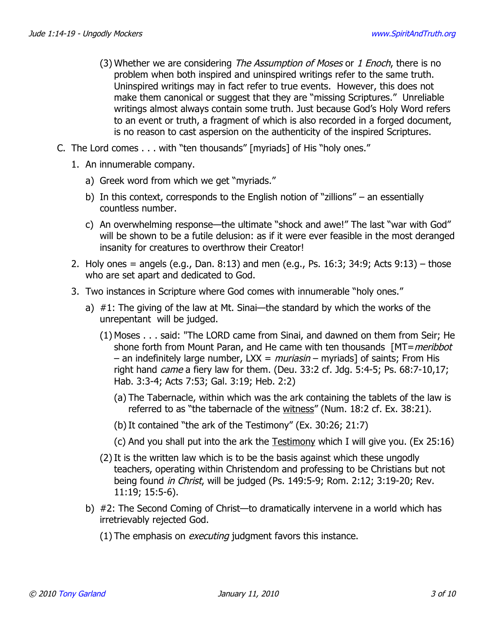- (3) Whether we are considering The Assumption of Moses or 1 Enoch, there is no problem when both inspired and uninspired writings refer to the same truth. Uninspired writings may in fact refer to true events. However, this does not make them canonical or suggest that they are "missing Scriptures." Unreliable writings almost always contain some truth. Just because God's Holy Word refers to an event or truth, a fragment of which is also recorded in a forged document, is no reason to cast aspersion on the authenticity of the inspired Scriptures.
- C. The Lord comes . . . with "ten thousands" [myriads] of His "holy ones."
	- 1. An innumerable company.
		- a) Greek word from which we get "myriads."
		- b) In this context, corresponds to the English notion of "zillions" an essentially countless number.
		- c) An overwhelming response—the ultimate "shock and awe!" The last "war with God" will be shown to be a futile delusion: as if it were ever feasible in the most deranged insanity for creatures to overthrow their Creator!
	- 2. Holy ones = angels (e.g., Dan. 8:13) and men (e.g., Ps. 16:3; 34:9; Acts 9:13) those who are set apart and dedicated to God.
	- 3. Two instances in Scripture where God comes with innumerable "holy ones."
		- a) #1: The giving of the law at Mt. Sinai—the standard by which the works of the unrepentant will be judged.
			- (1) Moses . . . said: "The LORD came from Sinai, and dawned on them from Seir; He shone forth from Mount Paran, and He came with ten thousands [MT=meribbot] – an indefinitely large number,  $LXX =$  *muriasin* – myriads] of saints; From His right hand *came* a fiery law for them. (Deu. 33:2 cf. Jdg. 5:4-5; Ps. 68:7-10,17; Hab. 3:3-4; Acts 7:53; Gal. 3:19; Heb. 2:2)
				- (a) The Tabernacle, within which was the ark containing the tablets of the law is referred to as "the tabernacle of the witness" (Num. 18:2 cf. Ex. 38:21).
				- (b)It contained "the ark of the Testimony" (Ex. 30:26; 21:7)
				- (c) And you shall put into the ark the Testimony which I will give you. (Ex 25:16)
			- (2) It is the written law which is to be the basis against which these ungodly teachers, operating within Christendom and professing to be Christians but not being found *in Christ*, will be judged (Ps. 149:5-9; Rom. 2:12; 3:19-20; Rev. 11:19; 15:5-6).
		- b) #2: The Second Coming of Christ—to dramatically intervene in a world which has irretrievably rejected God.
			- $(1)$  The emphasis on *executing* judgment favors this instance.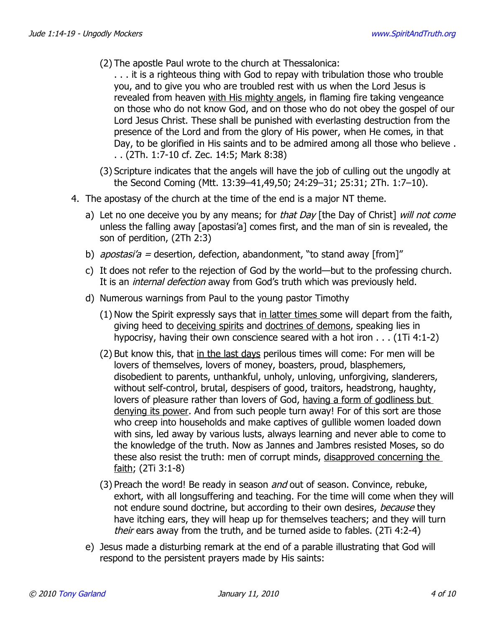- (2) The apostle Paul wrote to the church at Thessalonica:
	- . . . it is a righteous thing with God to repay with tribulation those who trouble you, and to give you who are troubled rest with us when the Lord Jesus is revealed from heaven with His mighty angels, in flaming fire taking vengeance on those who do not know God, and on those who do not obey the gospel of our Lord Jesus Christ. These shall be punished with everlasting destruction from the presence of the Lord and from the glory of His power, when He comes, in that Day, to be glorified in His saints and to be admired among all those who believe . . . (2Th. 1:7-10 cf. Zec. 14:5; Mark 8:38)
- (3) Scripture indicates that the angels will have the job of culling out the ungodly at the Second Coming (Mtt. 13:39–41,49,50; 24:29–31; 25:31; 2Th. 1:7–10).
- 4. The apostasy of the church at the time of the end is a major NT theme.
	- a) Let no one deceive you by any means; for that Day [the Day of Christ] will not come unless the falling away [apostasi'a] comes first, and the man of sin is revealed, the son of perdition, (2Th 2:3)
	- b) apostasi'a = desertion, defection, abandonment, "to stand away [from]"
	- c) It does not refer to the rejection of God by the world—but to the professing church. It is an *internal defection* away from God's truth which was previously held.
	- d) Numerous warnings from Paul to the young pastor Timothy
		- (1) Now the Spirit expressly says that in latter times some will depart from the faith, giving heed to deceiving spirits and doctrines of demons, speaking lies in hypocrisy, having their own conscience seared with a hot iron . . . (1Ti 4:1-2)
		- (2) But know this, that in the last days perilous times will come: For men will be lovers of themselves, lovers of money, boasters, proud, blasphemers, disobedient to parents, unthankful, unholy, unloving, unforgiving, slanderers, without self-control, brutal, despisers of good, traitors, headstrong, haughty, lovers of pleasure rather than lovers of God, having a form of godliness but denying its power. And from such people turn away! For of this sort are those who creep into households and make captives of gullible women loaded down with sins, led away by various lusts, always learning and never able to come to the knowledge of the truth. Now as Jannes and Jambres resisted Moses, so do these also resist the truth: men of corrupt minds, disapproved concerning the faith; (2Ti 3:1-8)
		- (3) Preach the word! Be ready in season *and* out of season. Convince, rebuke, exhort, with all longsuffering and teaching. For the time will come when they will not endure sound doctrine, but according to their own desires, because they have itching ears, they will heap up for themselves teachers; and they will turn their ears away from the truth, and be turned aside to fables. (2Ti 4:2-4)
	- e) Jesus made a disturbing remark at the end of a parable illustrating that God will respond to the persistent prayers made by His saints: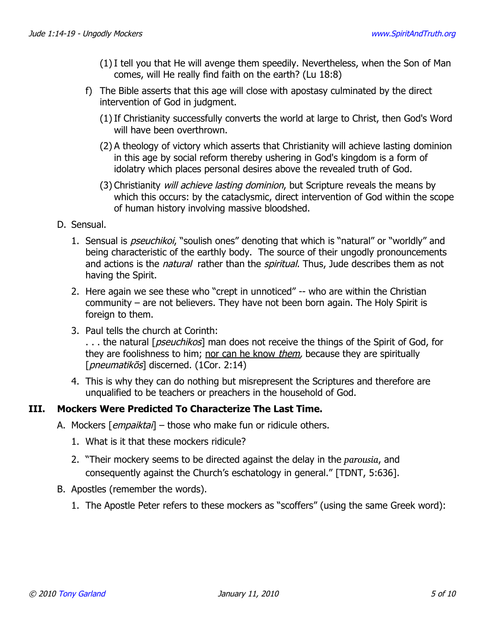- (1) I tell you that He will avenge them speedily. Nevertheless, when the Son of Man comes, will He really find faith on the earth? (Lu 18:8)
- f) The Bible asserts that this age will close with apostasy culminated by the direct intervention of God in judgment.
	- (1) If Christianity successfully converts the world at large to Christ, then God's Word will have been overthrown.
	- (2) A theology of victory which asserts that Christianity will achieve lasting dominion in this age by social reform thereby ushering in God's kingdom is a form of idolatry which places personal desires above the revealed truth of God.
	- (3) Christianity will achieve lasting dominion, but Scripture reveals the means by which this occurs: by the cataclysmic, direct intervention of God within the scope of human history involving massive bloodshed.
- D. Sensual.
	- 1. Sensual is *pseuchikoi*, "soulish ones" denoting that which is "natural" or "worldly" and being characteristic of the earthly body. The source of their ungodly pronouncements and actions is the *natural* rather than the *spiritual*. Thus, Jude describes them as not having the Spirit.
	- 2. Here again we see these who "crept in unnoticed" -- who are within the Christian community – are not believers. They have not been born again. The Holy Spirit is foreign to them.
	- 3. Paul tells the church at Corinth: ... the natural [*pseuchikos*] man does not receive the things of the Spirit of God, for they are foolishness to him; nor can he know *them*, because they are spiritually [*pneumatikōs*] discerned. (1Cor. 2:14)
	- 4. This is why they can do nothing but misrepresent the Scriptures and therefore are unqualified to be teachers or preachers in the household of God.

## **III. Mockers Were Predicted To Characterize The Last Time.**

- A. Mockers [*empaiktai*] those who make fun or ridicule others.
	- 1. What is it that these mockers ridicule?
	- 2. "Their mockery seems to be directed against the delay in the *parousia*, and consequently against the Church's eschatology in general." [TDNT, 5:636].
- B. Apostles (remember the words).
	- 1. The Apostle Peter refers to these mockers as "scoffers" (using the same Greek word):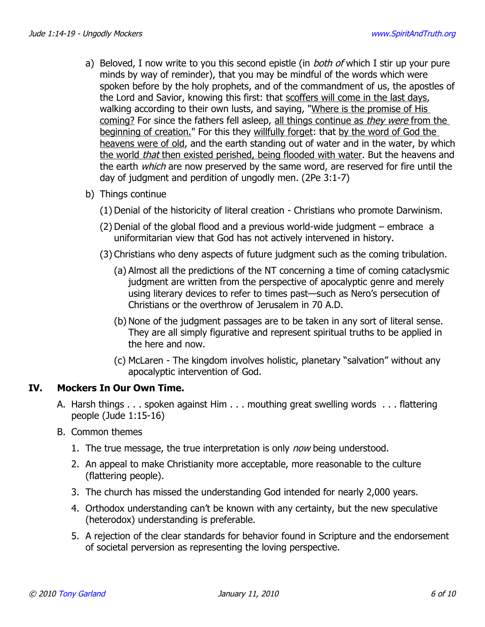- a) Beloved, I now write to you this second epistle (in *both of* which I stir up your pure minds by way of reminder), that you may be mindful of the words which were spoken before by the holy prophets, and of the commandment of us, the apostles of the Lord and Savior, knowing this first: that scoffers will come in the last days, walking according to their own lusts, and saying, "Where is the promise of His coming? For since the fathers fell asleep, all things continue as they were from the beginning of creation." For this they willfully forget: that by the word of God the heavens were of old, and the earth standing out of water and in the water, by which the world that then existed perished, being flooded with water. But the heavens and the earth *which* are now preserved by the same word, are reserved for fire until the day of judgment and perdition of ungodly men. (2Pe 3:1-7)
- b) Things continue
	- (1) Denial of the historicity of literal creation Christians who promote Darwinism.
	- (2) Denial of the global flood and a previous world-wide judgment embrace a uniformitarian view that God has not actively intervened in history.
	- (3) Christians who deny aspects of future judgment such as the coming tribulation.
		- (a) Almost all the predictions of the NT concerning a time of coming cataclysmic judgment are written from the perspective of apocalyptic genre and merely using literary devices to refer to times past—such as Nero's persecution of Christians or the overthrow of Jerusalem in 70 A.D.
		- (b) None of the judgment passages are to be taken in any sort of literal sense. They are all simply figurative and represent spiritual truths to be applied in the here and now.
		- (c) McLaren The kingdom involves holistic, planetary "salvation" without any apocalyptic intervention of God.

#### **IV. Mockers In Our Own Time.**

- A. Harsh things . . . spoken against Him . . . mouthing great swelling words . . . flattering people (Jude 1:15-16)
- B. Common themes
	- 1. The true message, the true interpretation is only *now* being understood.
	- 2. An appeal to make Christianity more acceptable, more reasonable to the culture (flattering people).
	- 3. The church has missed the understanding God intended for nearly 2,000 years.
	- 4. Orthodox understanding can't be known with any certainty, but the new speculative (heterodox) understanding is preferable.
	- 5. A rejection of the clear standards for behavior found in Scripture and the endorsement of societal perversion as representing the loving perspective.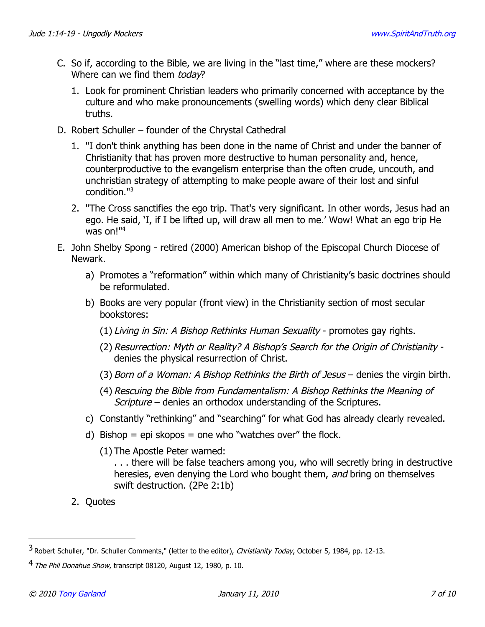- C. So if, according to the Bible, we are living in the "last time," where are these mockers? Where can we find them *todav*?
	- 1. Look for prominent Christian leaders who primarily concerned with acceptance by the culture and who make pronouncements (swelling words) which deny clear Biblical truths.
- D. Robert Schuller founder of the Chrystal Cathedral
	- 1. "I don't think anything has been done in the name of Christ and under the banner of Christianity that has proven more destructive to human personality and, hence, counterproductive to the evangelism enterprise than the often crude, uncouth, and unchristian strategy of attempting to make people aware of their lost and sinful condition."[3](#page-6-0)
	- 2. "The Cross sanctifies the ego trip. That's very significant. In other words, Jesus had an ego. He said, 'I, if I be lifted up, will draw all men to me.' Wow! What an ego trip He was on!"[4](#page-6-1)
- E. John Shelby Spong retired (2000) American bishop of the Episcopal Church Diocese of Newark.
	- a) Promotes a "reformation" within which many of Christianity's basic doctrines should be reformulated.
	- b) Books are very popular (front view) in the Christianity section of most secular bookstores:
		- (1) Living in Sin: A Bishop Rethinks Human Sexuality promotes gay rights.
		- (2) Resurrection: Myth or Reality? A Bishop's Search for the Origin of Christianity denies the physical resurrection of Christ.
		- (3) Born of a Woman: A Bishop Rethinks the Birth of Jesus denies the virgin birth.
		- (4) Rescuing the Bible from Fundamentalism: A Bishop Rethinks the Meaning of Scripture – denies an orthodox understanding of the Scriptures.
	- c) Constantly "rethinking" and "searching" for what God has already clearly revealed.
	- d) Bishop = epi skopos = one who "watches over" the flock.
		- (1) The Apostle Peter warned:

. . . there will be false teachers among you, who will secretly bring in destructive heresies, even denying the Lord who bought them, and bring on themselves swift destruction. (2Pe 2:1b)

2. Quotes

<span id="page-6-0"></span><sup>3</sup> Robert Schuller, "Dr. Schuller Comments," (letter to the editor), Christianity Today, October 5, 1984, pp. 12-13.

<span id="page-6-1"></span><sup>4</sup> The Phil Donahue Show, transcript 08120, August 12, 1980, p. 10.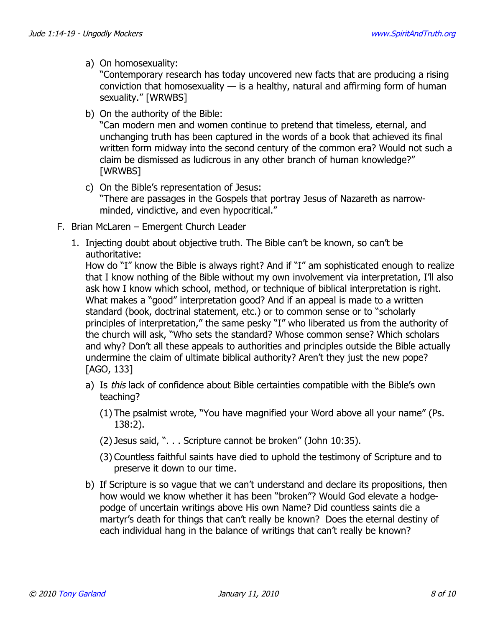a) On homosexuality:

"Contemporary research has today uncovered new facts that are producing a rising conviction that homosexuality  $-$  is a healthy, natural and affirming form of human sexuality." [WRWBS]

b) On the authority of the Bible:

"Can modern men and women continue to pretend that timeless, eternal, and unchanging truth has been captured in the words of a book that achieved its final written form midway into the second century of the common era? Would not such a claim be dismissed as ludicrous in any other branch of human knowledge?" [WRWBS]

- c) On the Bible's representation of Jesus: "There are passages in the Gospels that portray Jesus of Nazareth as narrowminded, vindictive, and even hypocritical."
- F. Brian McLaren Emergent Church Leader
	- 1. Injecting doubt about objective truth. The Bible can't be known, so can't be authoritative:

How do "I" know the Bible is always right? And if "I" am sophisticated enough to realize that I know nothing of the Bible without my own involvement via interpretation, I'll also ask how I know which school, method, or technique of biblical interpretation is right. What makes a "good" interpretation good? And if an appeal is made to a written standard (book, doctrinal statement, etc.) or to common sense or to "scholarly principles of interpretation," the same pesky "I" who liberated us from the authority of the church will ask, "Who sets the standard? Whose common sense? Which scholars and why? Don't all these appeals to authorities and principles outside the Bible actually undermine the claim of ultimate biblical authority? Aren't they just the new pope? [AGO, 133]

- a) Is this lack of confidence about Bible certainties compatible with the Bible's own teaching?
	- (1) The psalmist wrote, "You have magnified your Word above all your name" (Ps. 138:2).
	- (2) Jesus said, ". . . Scripture cannot be broken" (John 10:35).
	- (3) Countless faithful saints have died to uphold the testimony of Scripture and to preserve it down to our time.
- b) If Scripture is so vague that we can't understand and declare its propositions, then how would we know whether it has been "broken"? Would God elevate a hodgepodge of uncertain writings above His own Name? Did countless saints die a martyr's death for things that can't really be known? Does the eternal destiny of each individual hang in the balance of writings that can't really be known?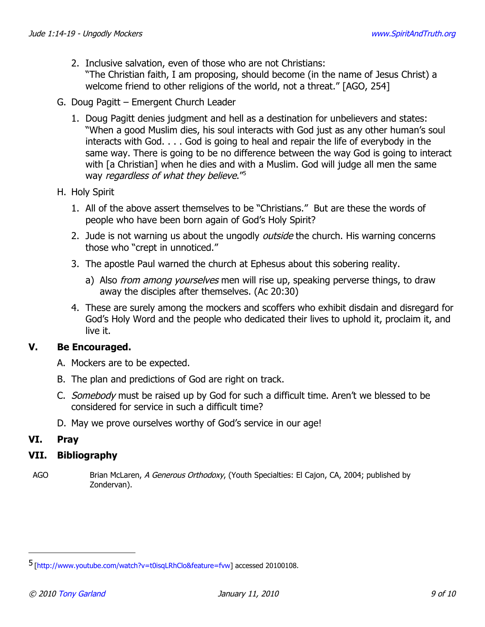- 2. Inclusive salvation, even of those who are not Christians: "The Christian faith, I am proposing, should become (in the name of Jesus Christ) a welcome friend to other religions of the world, not a threat." [AGO, 254]
- G. Doug Pagitt Emergent Church Leader
	- 1. Doug Pagitt denies judgment and hell as a destination for unbelievers and states: "When a good Muslim dies, his soul interacts with God just as any other human's soul interacts with God. . . . God is going to heal and repair the life of everybody in the same way. There is going to be no difference between the way God is going to interact with [a Christian] when he dies and with a Muslim. God will judge all men the same way regardless of what they believe."<sup>[5](#page-8-0)</sup>
- H. Holy Spirit
	- 1. All of the above assert themselves to be "Christians." But are these the words of people who have been born again of God's Holy Spirit?
	- 2. Jude is not warning us about the ungodly *outside* the church. His warning concerns those who "crept in unnoticed."
	- 3. The apostle Paul warned the church at Ephesus about this sobering reality.
		- a) Also *from among yourselves* men will rise up, speaking perverse things, to draw away the disciples after themselves. (Ac 20:30)
	- 4. These are surely among the mockers and scoffers who exhibit disdain and disregard for God's Holy Word and the people who dedicated their lives to uphold it, proclaim it, and live it.

## **V. Be Encouraged.**

- A. Mockers are to be expected.
- B. The plan and predictions of God are right on track.
- C. Somebody must be raised up by God for such a difficult time. Aren't we blessed to be considered for service in such a difficult time?
- D. May we prove ourselves worthy of God's service in our age!

## **VI. Pray**

#### **VII. Bibliography**

AGO Brian McLaren, A Generous Orthodoxy, (Youth Specialties: El Cajon, CA, 2004; published by Zondervan).

<span id="page-8-0"></span><sup>5</sup> [\[http://www.youtube.com/watch?v=t0isqLRhClo&feature=fvw\]](http://www.youtube.com/watch?v=t0isqLRhClo&feature=fvw) accessed 20100108.